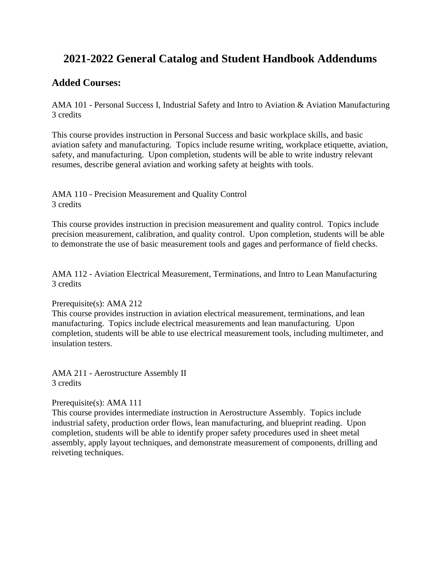## **2021-2022 General Catalog and Student Handbook Addendums**

## **Added Courses:**

AMA 101 - Personal Success I, Industrial Safety and Intro to Aviation & Aviation Manufacturing 3 credits

This course provides instruction in Personal Success and basic workplace skills, and basic aviation safety and manufacturing. Topics include resume writing, workplace etiquette, aviation, safety, and manufacturing. Upon completion, students will be able to write industry relevant resumes, describe general aviation and working safety at heights with tools.

AMA 110 - Precision Measurement and Quality Control 3 credits

This course provides instruction in precision measurement and quality control. Topics include precision measurement, calibration, and quality control. Upon completion, students will be able to demonstrate the use of basic measurement tools and gages and performance of field checks.

AMA 112 - Aviation Electrical Measurement, Terminations, and Intro to Lean Manufacturing 3 credits

#### Prerequisite(s): AMA 212

This course provides instruction in aviation electrical measurement, terminations, and lean manufacturing. Topics include electrical measurements and lean manufacturing. Upon completion, students will be able to use electrical measurement tools, including multimeter, and insulation testers.

AMA 211 - Aerostructure Assembly II 3 credits

#### Prerequisite(s): AMA 111

This course provides intermediate instruction in Aerostructure Assembly. Topics include industrial safety, production order flows, lean manufacturing, and blueprint reading. Upon completion, students will be able to identify proper safety procedures used in sheet metal assembly, apply layout techniques, and demonstrate measurement of components, drilling and reiveting techniques.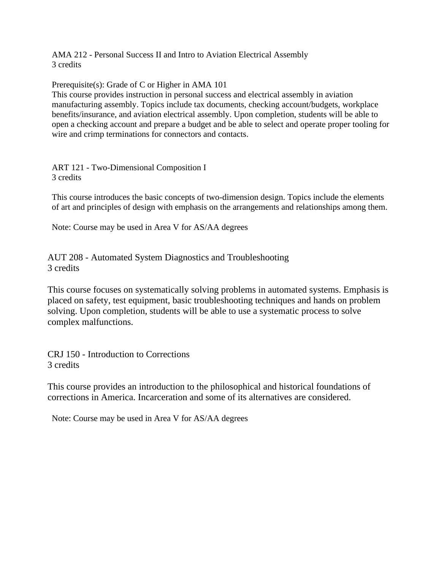AMA 212 - Personal Success II and Intro to Aviation Electrical Assembly 3 credits

Prerequisite(s): Grade of C or Higher in AMA 101

This course provides instruction in personal success and electrical assembly in aviation manufacturing assembly. Topics include tax documents, checking account/budgets, workplace benefits/insurance, and aviation electrical assembly. Upon completion, students will be able to open a checking account and prepare a budget and be able to select and operate proper tooling for wire and crimp terminations for connectors and contacts.

ART 121 - Two-Dimensional Composition I 3 credits

This course introduces the basic concepts of two-dimension design. Topics include the elements of art and principles of design with emphasis on the arrangements and relationships among them.

Note: Course may be used in Area V for AS/AA degrees

AUT 208 - Automated System Diagnostics and Troubleshooting 3 credits

This course focuses on systematically solving problems in automated systems. Emphasis is placed on safety, test equipment, basic troubleshooting techniques and hands on problem solving. Upon completion, students will be able to use a systematic process to solve complex malfunctions.

CRJ 150 - Introduction to Corrections 3 credits

This course provides an introduction to the philosophical and historical foundations of corrections in America. Incarceration and some of its alternatives are considered.

Note: Course may be used in Area V for AS/AA degrees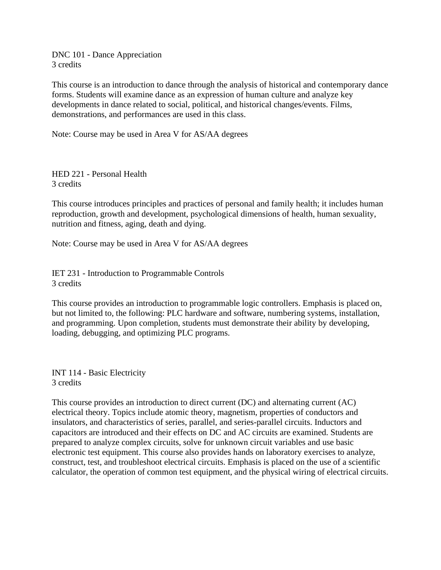DNC 101 - Dance Appreciation 3 credits

This course is an introduction to dance through the analysis of historical and contemporary dance forms. Students will examine dance as an expression of human culture and analyze key developments in dance related to social, political, and historical changes/events. Films, demonstrations, and performances are used in this class.

Note: Course may be used in Area V for AS/AA degrees

HED 221 - Personal Health 3 credits

This course introduces principles and practices of personal and family health; it includes human reproduction, growth and development, psychological dimensions of health, human sexuality, nutrition and fitness, aging, death and dying.

Note: Course may be used in Area V for AS/AA degrees

IET 231 - Introduction to Programmable Controls 3 credits

This course provides an introduction to programmable logic controllers. Emphasis is placed on, but not limited to, the following: PLC hardware and software, numbering systems, installation, and programming. Upon completion, students must demonstrate their ability by developing, loading, debugging, and optimizing PLC programs.

INT 114 - Basic Electricity 3 credits

This course provides an introduction to direct current (DC) and alternating current (AC) electrical theory. Topics include atomic theory, magnetism, properties of conductors and insulators, and characteristics of series, parallel, and series-parallel circuits. Inductors and capacitors are introduced and their effects on DC and AC circuits are examined. Students are prepared to analyze complex circuits, solve for unknown circuit variables and use basic electronic test equipment. This course also provides hands on laboratory exercises to analyze, construct, test, and troubleshoot electrical circuits. Emphasis is placed on the use of a scientific calculator, the operation of common test equipment, and the physical wiring of electrical circuits.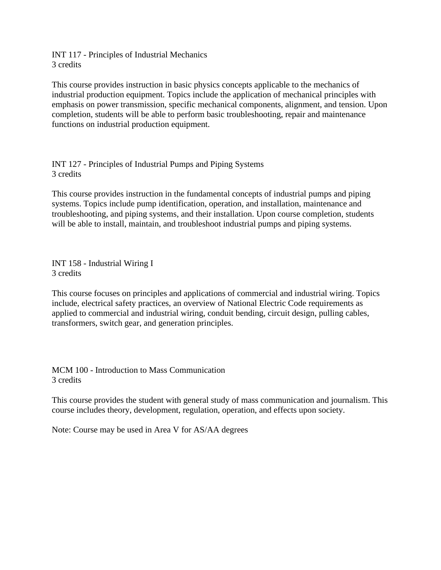INT 117 - Principles of Industrial Mechanics 3 credits

This course provides instruction in basic physics concepts applicable to the mechanics of industrial production equipment. Topics include the application of mechanical principles with emphasis on power transmission, specific mechanical components, alignment, and tension. Upon completion, students will be able to perform basic troubleshooting, repair and maintenance functions on industrial production equipment.

INT 127 - Principles of Industrial Pumps and Piping Systems 3 credits

This course provides instruction in the fundamental concepts of industrial pumps and piping systems. Topics include pump identification, operation, and installation, maintenance and troubleshooting, and piping systems, and their installation. Upon course completion, students will be able to install, maintain, and troubleshoot industrial pumps and piping systems.

INT 158 - Industrial Wiring I 3 credits

This course focuses on principles and applications of commercial and industrial wiring. Topics include, electrical safety practices, an overview of National Electric Code requirements as applied to commercial and industrial wiring, conduit bending, circuit design, pulling cables, transformers, switch gear, and generation principles.

MCM 100 - Introduction to Mass Communication 3 credits

This course provides the student with general study of mass communication and journalism. This course includes theory, development, regulation, operation, and effects upon society.

Note: Course may be used in Area V for AS/AA degrees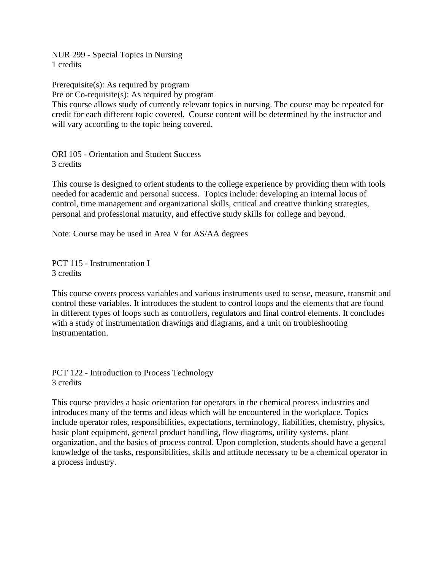NUR 299 - Special Topics in Nursing 1 credits

Prerequisite(s): As required by program Pre or Co-requisite(s): As required by program This course allows study of currently relevant topics in nursing. The course may be repeated for credit for each different topic covered. Course content will be determined by the instructor and will vary according to the topic being covered.

ORI 105 - Orientation and Student Success 3 credits

This course is designed to orient students to the college experience by providing them with tools needed for academic and personal success. Topics include: developing an internal locus of control, time management and organizational skills, critical and creative thinking strategies, personal and professional maturity, and effective study skills for college and beyond.

Note: Course may be used in Area V for AS/AA degrees

PCT 115 - Instrumentation I 3 credits

This course covers process variables and various instruments used to sense, measure, transmit and control these variables. It introduces the student to control loops and the elements that are found in different types of loops such as controllers, regulators and final control elements. It concludes with a study of instrumentation drawings and diagrams, and a unit on troubleshooting instrumentation.

PCT 122 - Introduction to Process Technology 3 credits

This course provides a basic orientation for operators in the chemical process industries and introduces many of the terms and ideas which will be encountered in the workplace. Topics include operator roles, responsibilities, expectations, terminology, liabilities, chemistry, physics, basic plant equipment, general product handling, flow diagrams, utility systems, plant organization, and the basics of process control. Upon completion, students should have a general knowledge of the tasks, responsibilities, skills and attitude necessary to be a chemical operator in a process industry.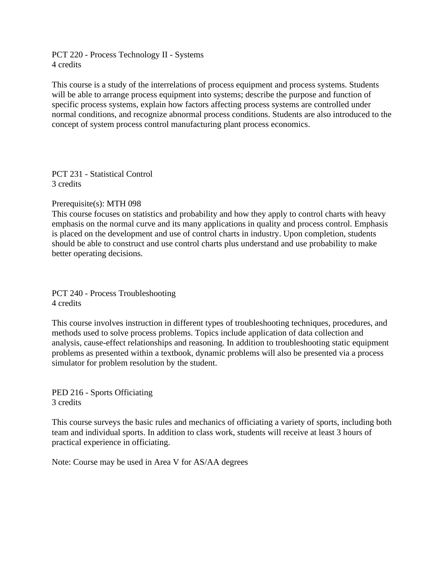PCT 220 - Process Technology II - Systems 4 credits

This course is a study of the interrelations of process equipment and process systems. Students will be able to arrange process equipment into systems; describe the purpose and function of specific process systems, explain how factors affecting process systems are controlled under normal conditions, and recognize abnormal process conditions. Students are also introduced to the concept of system process control manufacturing plant process economics.

PCT 231 - Statistical Control 3 credits

#### Prerequisite(s): MTH 098

This course focuses on statistics and probability and how they apply to control charts with heavy emphasis on the normal curve and its many applications in quality and process control. Emphasis is placed on the development and use of control charts in industry. Upon completion, students should be able to construct and use control charts plus understand and use probability to make better operating decisions.

PCT 240 - Process Troubleshooting 4 credits

This course involves instruction in different types of troubleshooting techniques, procedures, and methods used to solve process problems. Topics include application of data collection and analysis, cause-effect relationships and reasoning. In addition to troubleshooting static equipment problems as presented within a textbook, dynamic problems will also be presented via a process simulator for problem resolution by the student.

PED 216 - Sports Officiating 3 credits

This course surveys the basic rules and mechanics of officiating a variety of sports, including both team and individual sports. In addition to class work, students will receive at least 3 hours of practical experience in officiating.

Note: Course may be used in Area V for AS/AA degrees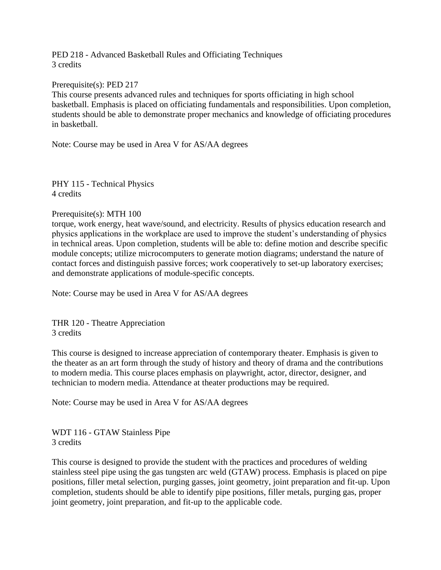PED 218 - Advanced Basketball Rules and Officiating Techniques 3 credits

#### Prerequisite(s): PED 217

This course presents advanced rules and techniques for sports officiating in high school basketball. Emphasis is placed on officiating fundamentals and responsibilities. Upon completion, students should be able to demonstrate proper mechanics and knowledge of officiating procedures in basketball.

Note: Course may be used in Area V for AS/AA degrees

PHY 115 - Technical Physics 4 credits

#### Prerequisite(s): MTH 100

torque, work energy, heat wave/sound, and electricity. Results of physics education research and physics applications in the workplace are used to improve the student's understanding of physics in technical areas. Upon completion, students will be able to: define motion and describe specific module concepts; utilize microcomputers to generate motion diagrams; understand the nature of contact forces and distinguish passive forces; work cooperatively to set-up laboratory exercises; and demonstrate applications of module-specific concepts.

Note: Course may be used in Area V for AS/AA degrees

THR 120 - Theatre Appreciation 3 credits

This course is designed to increase appreciation of contemporary theater. Emphasis is given to the theater as an art form through the study of history and theory of drama and the contributions to modern media. This course places emphasis on playwright, actor, director, designer, and technician to modern media. Attendance at theater productions may be required.

Note: Course may be used in Area V for AS/AA degrees

WDT 116 - GTAW Stainless Pipe 3 credits

This course is designed to provide the student with the practices and procedures of welding stainless steel pipe using the gas tungsten arc weld (GTAW) process. Emphasis is placed on pipe positions, filler metal selection, purging gasses, joint geometry, joint preparation and fit-up. Upon completion, students should be able to identify pipe positions, filler metals, purging gas, proper joint geometry, joint preparation, and fit-up to the applicable code.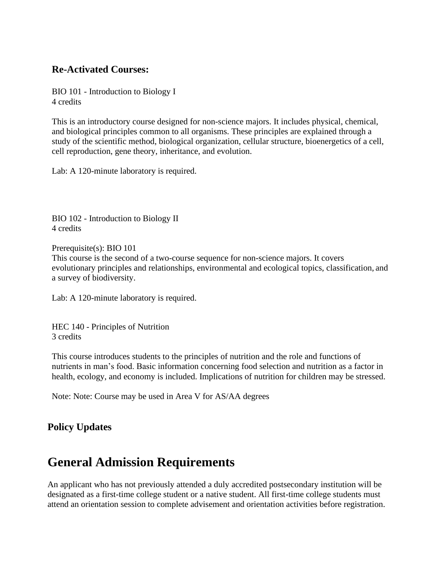## **Re-Activated Courses:**

BIO 101 - Introduction to Biology I 4 credits

This is an introductory course designed for non-science majors. It includes physical, chemical, and biological principles common to all organisms. These principles are explained through a study of the scientific method, biological organization, cellular structure, bioenergetics of a cell, cell reproduction, gene theory, inheritance, and evolution.

Lab: A 120-minute laboratory is required.

BIO 102 - Introduction to Biology II 4 credits

Prerequisite(s): BIO 101 This course is the second of a two-course sequence for non-science majors. It covers evolutionary principles and relationships, environmental and ecological topics, classification, and a survey of biodiversity.

Lab: A 120-minute laboratory is required.

HEC 140 - Principles of Nutrition 3 credits

This course introduces students to the principles of nutrition and the role and functions of nutrients in man's food. Basic information concerning food selection and nutrition as a factor in health, ecology, and economy is included. Implications of nutrition for children may be stressed.

Note: Note: Course may be used in Area V for AS/AA degrees

## **Policy Updates**

# **General Admission Requirements**

An applicant who has not previously attended a duly accredited postsecondary institution will be designated as a first-time college student or a native student. All first-time college students must attend an orientation session to complete advisement and orientation activities before registration.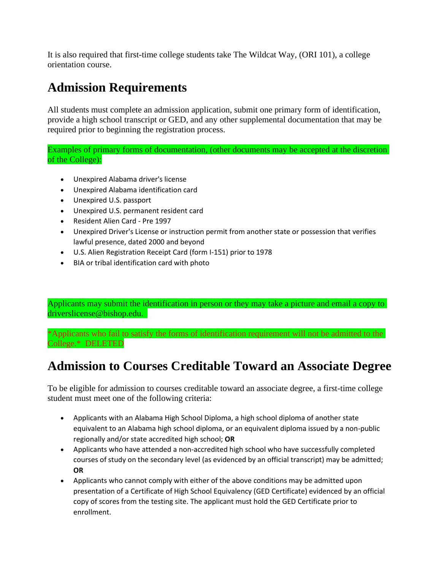It is also required that first-time college students take The Wildcat Way, (ORI 101), a college orientation course.

# **Admission Requirements**

All students must complete an admission application, submit one primary form of identification, provide a high school transcript or GED, and any other supplemental documentation that may be required prior to beginning the registration process.

Examples of primary forms of documentation, (other documents may be accepted at the discretion of the College):

- Unexpired Alabama driver's license
- Unexpired Alabama identification card
- Unexpired U.S. passport
- Unexpired U.S. permanent resident card
- Resident Alien Card Pre 1997
- Unexpired Driver's License or instruction permit from another state or possession that verifies lawful presence, dated 2000 and beyond
- U.S. Alien Registration Receipt Card (form I-151) prior to 1978
- BIA or tribal identification card with photo

Applicants may submit the identification in person or they may take a picture and email a copy to driverslicense@bishop.edu.

\*Applicants who fail to satisfy the forms of identification requirement will not be admitted to the College.\* DELETED

# **Admission to Courses Creditable Toward an Associate Degree**

To be eligible for admission to courses creditable toward an associate degree, a first-time college student must meet one of the following criteria:

- Applicants with an Alabama High School Diploma, a high school diploma of another state equivalent to an Alabama high school diploma, or an equivalent diploma issued by a non-public regionally and/or state accredited high school; **OR**
- Applicants who have attended a non-accredited high school who have successfully completed courses of study on the secondary level (as evidenced by an official transcript) may be admitted; **OR**
- Applicants who cannot comply with either of the above conditions may be admitted upon presentation of a Certificate of High School Equivalency (GED Certificate) evidenced by an official copy of scores from the testing site. The applicant must hold the GED Certificate prior to enrollment.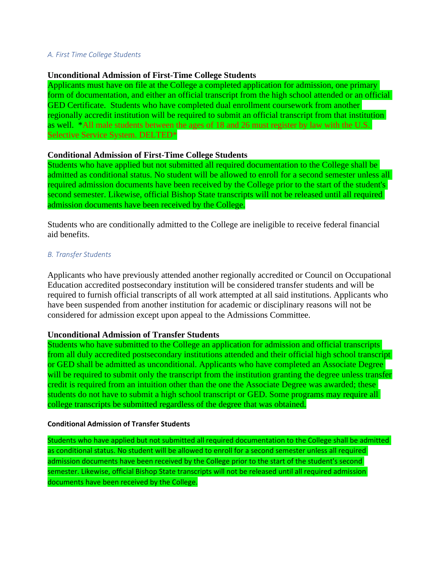#### *A. First Time College Students*

#### **Unconditional Admission of First-Time College Students**

Applicants must have on file at the College a completed application for admission, one primary form of documentation, and either an official transcript from the high school attended or an official GED Certificate. Students who have completed dual enrollment coursework from another regionally accredit institution will be required to submit an official transcript from that institution as well. \*All male students between the ages of 18 and 26 must register by law with the U.S. Selective Service System. DELTED\*

#### **Conditional Admission of First-Time College Students**

Students who have applied but not submitted all required documentation to the College shall be admitted as conditional status. No student will be allowed to enroll for a second semester unless all required admission documents have been received by the College prior to the start of the student's second semester. Likewise, official Bishop State transcripts will not be released until all required admission documents have been received by the College.

Students who are conditionally admitted to the College are ineligible to receive federal financial aid benefits.

#### *B. Transfer Students*

Applicants who have previously attended another regionally accredited or Council on Occupational Education accredited postsecondary institution will be considered transfer students and will be required to furnish official transcripts of all work attempted at all said institutions. Applicants who have been suspended from another institution for academic or disciplinary reasons will not be considered for admission except upon appeal to the Admissions Committee.

#### **Unconditional Admission of Transfer Students**

Students who have submitted to the College an application for admission and official transcripts from all duly accredited postsecondary institutions attended and their official high school transcript or GED shall be admitted as unconditional. Applicants who have completed an Associate Degree will be required to submit only the transcript from the institution granting the degree unless transfer credit is required from an intuition other than the one the Associate Degree was awarded; these students do not have to submit a high school transcript or GED. Some programs may require all college transcripts be submitted regardless of the degree that was obtained.

#### **Conditional Admission of Transfer Students**

Students who have applied but not submitted all required documentation to the College shall be admitted as conditional status. No student will be allowed to enroll for a second semester unless all required admission documents have been received by the College prior to the start of the student's second semester. Likewise, official Bishop State transcripts will not be released until all required admission documents have been received by the College.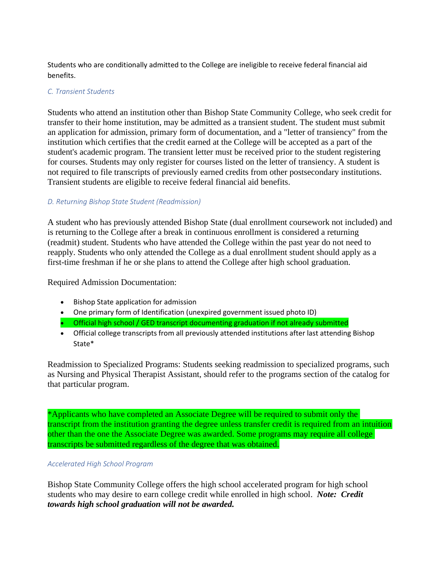Students who are conditionally admitted to the College are ineligible to receive federal financial aid benefits.

#### *C. Transient Students*

Students who attend an institution other than Bishop State Community College, who seek credit for transfer to their home institution, may be admitted as a transient student. The student must submit an application for admission, primary form of documentation, and a "letter of transiency" from the institution which certifies that the credit earned at the College will be accepted as a part of the student's academic program. The transient letter must be received prior to the student registering for courses. Students may only register for courses listed on the letter of transiency. A student is not required to file transcripts of previously earned credits from other postsecondary institutions. Transient students are eligible to receive federal financial aid benefits.

#### *D. Returning Bishop State Student (Readmission)*

A student who has previously attended Bishop State (dual enrollment coursework not included) and is returning to the College after a break in continuous enrollment is considered a returning (readmit) student. Students who have attended the College within the past year do not need to reapply. Students who only attended the College as a dual enrollment student should apply as a first-time freshman if he or she plans to attend the College after high school graduation.

Required Admission Documentation:

- Bishop State application for admission
- One primary form of Identification (unexpired government issued photo ID)
- Official high school / GED transcript documenting graduation if not already submitted
- Official college transcripts from all previously attended institutions after last attending Bishop State\*

Readmission to Specialized Programs: Students seeking readmission to specialized programs, such as Nursing and Physical Therapist Assistant, should refer to the programs section of the catalog for that particular program.

\*Applicants who have completed an Associate Degree will be required to submit only the transcript from the institution granting the degree unless transfer credit is required from an intuition other than the one the Associate Degree was awarded. Some programs may require all college transcripts be submitted regardless of the degree that was obtained.

#### *Accelerated High School Program*

Bishop State Community College offers the high school accelerated program for high school students who may desire to earn college credit while enrolled in high school. *Note: Credit towards high school graduation will not be awarded.*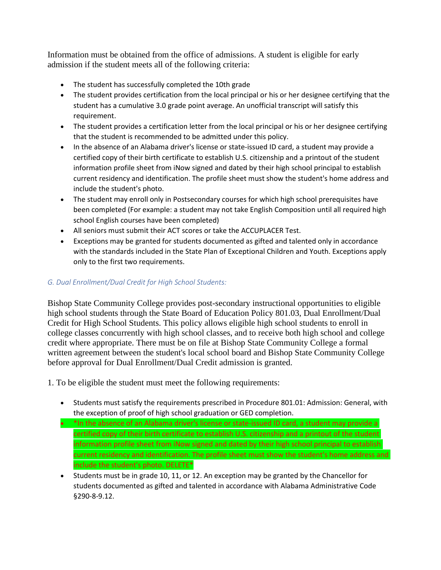Information must be obtained from the office of admissions. A student is eligible for early admission if the student meets all of the following criteria:

- The student has successfully completed the 10th grade
- The student provides certification from the local principal or his or her designee certifying that the student has a cumulative 3.0 grade point average. An unofficial transcript will satisfy this requirement.
- The student provides a certification letter from the local principal or his or her designee certifying that the student is recommended to be admitted under this policy.
- In the absence of an Alabama driver's license or state-issued ID card, a student may provide a certified copy of their birth certificate to establish U.S. citizenship and a printout of the student information profile sheet from iNow signed and dated by their high school principal to establish current residency and identification. The profile sheet must show the student's home address and include the student's photo.
- The student may enroll only in Postsecondary courses for which high school prerequisites have been completed (For example: a student may not take English Composition until all required high school English courses have been completed)
- All seniors must submit their ACT scores or take the ACCUPLACER Test.
- Exceptions may be granted for students documented as gifted and talented only in accordance with the standards included in the State Plan of Exceptional Children and Youth. Exceptions apply only to the first two requirements.

### *G. Dual Enrollment/Dual Credit for High School Students:*

Bishop State Community College provides post-secondary instructional opportunities to eligible high school students through the State Board of Education Policy 801.03, Dual Enrollment/Dual Credit for High School Students. This policy allows eligible high school students to enroll in college classes concurrently with high school classes, and to receive both high school and college credit where appropriate. There must be on file at Bishop State Community College a formal written agreement between the student's local school board and Bishop State Community College before approval for Dual Enrollment/Dual Credit admission is granted.

1. To be eligible the student must meet the following requirements:

- Students must satisfy the requirements prescribed in Procedure 801.01: Admission: General, with the exception of proof of high school graduation or GED completion.
- \*In the absence of an Alabama driver's license or state-issued ID card, a student may provide a certified copy of their birth certificate to establish U.S. citizenship and a printout of the student information profile sheet from iNow signed and dated by their high school principal to establish current residency and identification. The profile sheet must show the student's home address and include the student's photo. DELETE\*
- Students must be in grade 10, 11, or 12. An exception may be granted by the Chancellor for students documented as gifted and talented in accordance with Alabama Administrative Code §290-8-9.12.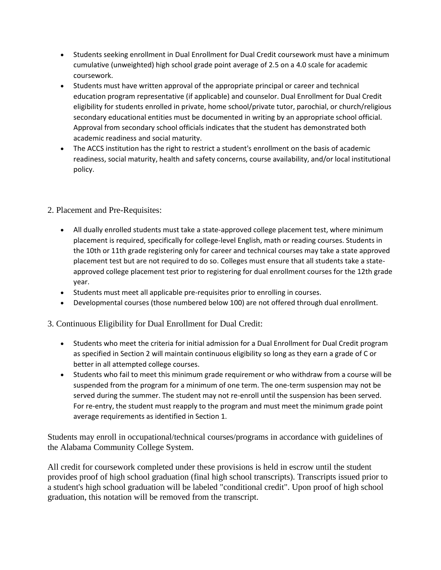- Students seeking enrollment in Dual Enrollment for Dual Credit coursework must have a minimum cumulative (unweighted) high school grade point average of 2.5 on a 4.0 scale for academic coursework.
- Students must have written approval of the appropriate principal or career and technical education program representative (if applicable) and counselor. Dual Enrollment for Dual Credit eligibility for students enrolled in private, home school/private tutor, parochial, or church/religious secondary educational entities must be documented in writing by an appropriate school official. Approval from secondary school officials indicates that the student has demonstrated both academic readiness and social maturity.
- The ACCS institution has the right to restrict a student's enrollment on the basis of academic readiness, social maturity, health and safety concerns, course availability, and/or local institutional policy.

## 2. Placement and Pre-Requisites:

- All dually enrolled students must take a state-approved college placement test, where minimum placement is required, specifically for college-level English, math or reading courses. Students in the 10th or 11th grade registering only for career and technical courses may take a state approved placement test but are not required to do so. Colleges must ensure that all students take a stateapproved college placement test prior to registering for dual enrollment courses for the 12th grade year.
- Students must meet all applicable pre-requisites prior to enrolling in courses.
- Developmental courses (those numbered below 100) are not offered through dual enrollment.

3. Continuous Eligibility for Dual Enrollment for Dual Credit:

- Students who meet the criteria for initial admission for a Dual Enrollment for Dual Credit program as specified in Section 2 will maintain continuous eligibility so long as they earn a grade of C or better in all attempted college courses.
- Students who fail to meet this minimum grade requirement or who withdraw from a course will be suspended from the program for a minimum of one term. The one-term suspension may not be served during the summer. The student may not re-enroll until the suspension has been served. For re-entry, the student must reapply to the program and must meet the minimum grade point average requirements as identified in Section 1.

Students may enroll in occupational/technical courses/programs in accordance with guidelines of the Alabama Community College System.

All credit for coursework completed under these provisions is held in escrow until the student provides proof of high school graduation (final high school transcripts). Transcripts issued prior to a student's high school graduation will be labeled "conditional credit". Upon proof of high school graduation, this notation will be removed from the transcript.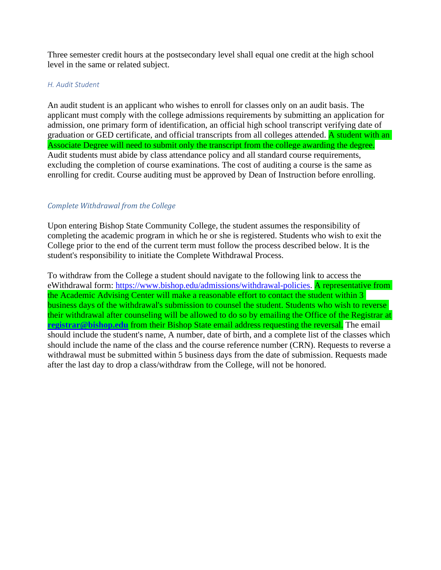Three semester credit hours at the postsecondary level shall equal one credit at the high school level in the same or related subject.

#### *H. Audit Student*

An audit student is an applicant who wishes to enroll for classes only on an audit basis. The applicant must comply with the college admissions requirements by submitting an application for admission, one primary form of identification, an official high school transcript verifying date of graduation or GED certificate, and official transcripts from all colleges attended. A student with an Associate Degree will need to submit only the transcript from the college awarding the degree. Audit students must abide by class attendance policy and all standard course requirements, excluding the completion of course examinations. The cost of auditing a course is the same as enrolling for credit. Course auditing must be approved by Dean of Instruction before enrolling.

#### *Complete Withdrawal from the College*

Upon entering Bishop State Community College, the student assumes the responsibility of completing the academic program in which he or she is registered. Students who wish to exit the College prior to the end of the current term must follow the process described below. It is the student's responsibility to initiate the Complete Withdrawal Process.

To withdraw from the College a student should navigate to the following link to access the eWithdrawal form: [https://www.bishop.edu/admissions/withdrawal-policies.](https://www.bishop.edu/admissions/withdrawal-policies) A representative from the Academic Advising Center will make a reasonable effort to contact the student within 3 business days of the withdrawal's submission to counsel the student. Students who wish to reverse their withdrawal after counseling will be allowed to do so by emailing the Office of the Registrar at **[registrar@bishop.edu](mailto:registrar@bishop.edu)** from their Bishop State email address requesting the reversal. The email should include the student's name, A number, date of birth, and a complete list of the classes which should include the name of the class and the course reference number (CRN). Requests to reverse a withdrawal must be submitted within 5 business days from the date of submission. Requests made after the last day to drop a class/withdraw from the College, will not be honored.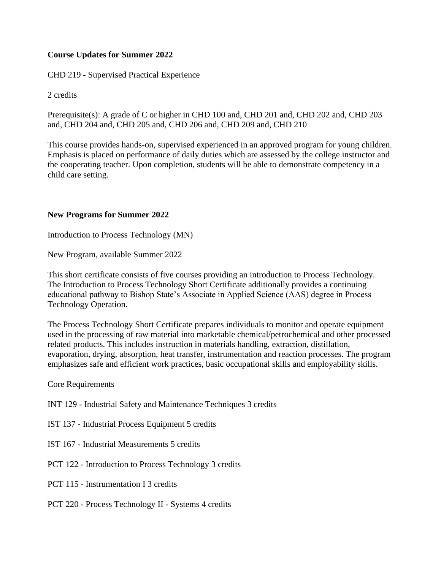## **Course Updates for Summer 2022**

CHD 219 - Supervised Practical Experience

2 credits

Prerequisite(s): A grade of C or higher in CHD 100 and, CHD 201 and, CHD 202 and, CHD 203 and, CHD 204 and, CHD 205 and, CHD 206 and, CHD 209 and, CHD 210

This course provides hands-on, supervised experienced in an approved program for young children. Emphasis is placed on performance of daily duties which are assessed by the college instructor and the cooperating teacher. Upon completion, students will be able to demonstrate competency in a child care setting.

### **New Programs for Summer 2022**

Introduction to Process Technology (MN)

New Program, available Summer 2022

This short certificate consists of five courses providing an introduction to Process Technology. The Introduction to Process Technology Short Certificate additionally provides a continuing educational pathway to Bishop State's Associate in Applied Science (AAS) degree in Process Technology Operation.

The Process Technology Short Certificate prepares individuals to monitor and operate equipment used in the processing of raw material into marketable chemical/petrochemical and other processed related products. This includes instruction in materials handling, extraction, distillation, evaporation, drying, absorption, heat transfer, instrumentation and reaction processes. The program emphasizes safe and efficient work practices, basic occupational skills and employability skills.

Core Requirements

- INT 129 Industrial Safety and Maintenance Techniques 3 credits
- IST 137 Industrial Process Equipment 5 credits
- IST 167 Industrial Measurements 5 credits

PCT 122 - Introduction to Process Technology 3 credits

- PCT 115 Instrumentation I 3 credits
- PCT 220 Process Technology II Systems 4 credits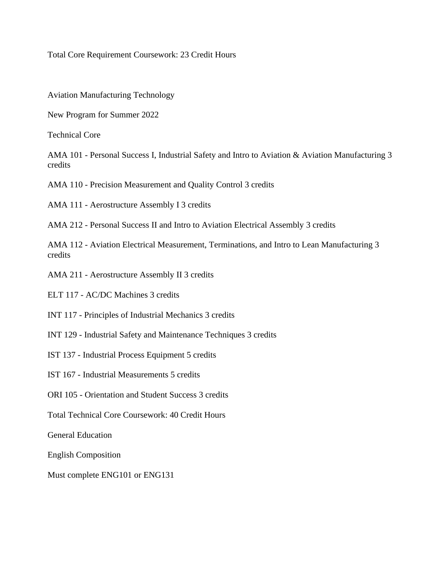Total Core Requirement Coursework: 23 Credit Hours

Aviation Manufacturing Technology

New Program for Summer 2022

Technical Core

AMA 101 - Personal Success I, Industrial Safety and Intro to Aviation & Aviation Manufacturing 3 credits

AMA 110 - Precision Measurement and Quality Control 3 credits

AMA 111 - Aerostructure Assembly I 3 credits

AMA 212 - Personal Success II and Intro to Aviation Electrical Assembly 3 credits

AMA 112 - Aviation Electrical Measurement, Terminations, and Intro to Lean Manufacturing 3 credits

AMA 211 - Aerostructure Assembly II 3 credits

ELT 117 - AC/DC Machines 3 credits

INT 117 - Principles of Industrial Mechanics 3 credits

INT 129 - Industrial Safety and Maintenance Techniques 3 credits

IST 137 - Industrial Process Equipment 5 credits

IST 167 - Industrial Measurements 5 credits

ORI 105 - Orientation and Student Success 3 credits

Total Technical Core Coursework: 40 Credit Hours

General Education

English Composition

Must complete ENG101 or ENG131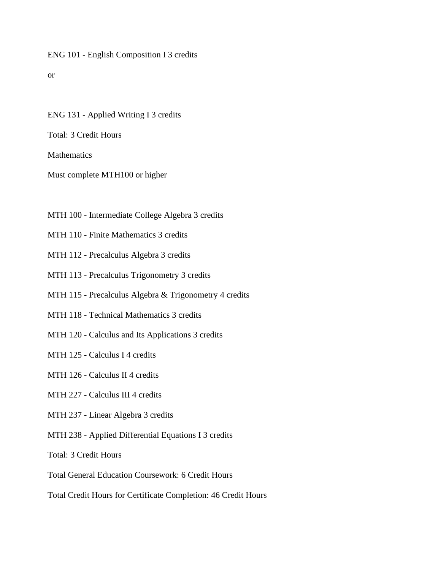#### ENG 101 - English Composition I 3 credits

or

ENG 131 - Applied Writing I 3 credits

Total: 3 Credit Hours

Mathematics

Must complete MTH100 or higher

MTH 100 - Intermediate College Algebra 3 credits

MTH 110 - Finite Mathematics 3 credits

MTH 112 - Precalculus Algebra 3 credits

MTH 113 - Precalculus Trigonometry 3 credits

MTH 115 - Precalculus Algebra & Trigonometry 4 credits

MTH 118 - Technical Mathematics 3 credits

MTH 120 - Calculus and Its Applications 3 credits

MTH 125 - Calculus I 4 credits

MTH 126 - Calculus II 4 credits

MTH 227 - Calculus III 4 credits

MTH 237 - Linear Algebra 3 credits

MTH 238 - Applied Differential Equations I 3 credits

Total: 3 Credit Hours

Total General Education Coursework: 6 Credit Hours

Total Credit Hours for Certificate Completion: 46 Credit Hours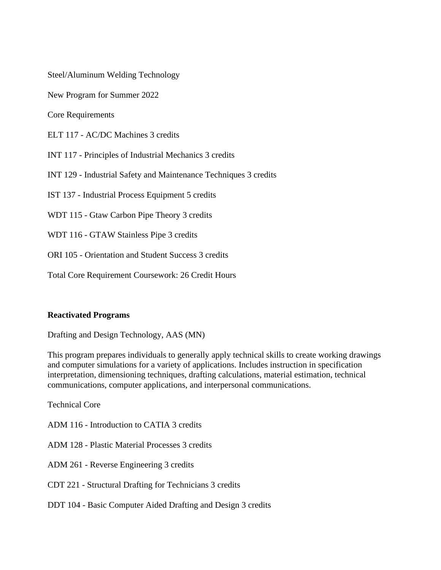Steel/Aluminum Welding Technology

New Program for Summer 2022

Core Requirements

ELT 117 - AC/DC Machines 3 credits

INT 117 - Principles of Industrial Mechanics 3 credits

INT 129 - Industrial Safety and Maintenance Techniques 3 credits

IST 137 - Industrial Process Equipment 5 credits

WDT 115 - Gtaw Carbon Pipe Theory 3 credits

WDT 116 - GTAW Stainless Pipe 3 credits

ORI 105 - Orientation and Student Success 3 credits

Total Core Requirement Coursework: 26 Credit Hours

#### **Reactivated Programs**

Drafting and Design Technology, AAS (MN)

This program prepares individuals to generally apply technical skills to create working drawings and computer simulations for a variety of applications. Includes instruction in specification interpretation, dimensioning techniques, drafting calculations, material estimation, technical communications, computer applications, and interpersonal communications.

Technical Core

ADM 116 - Introduction to CATIA 3 credits

ADM 128 - Plastic Material Processes 3 credits

ADM 261 - Reverse Engineering 3 credits

- CDT 221 Structural Drafting for Technicians 3 credits
- DDT 104 Basic Computer Aided Drafting and Design 3 credits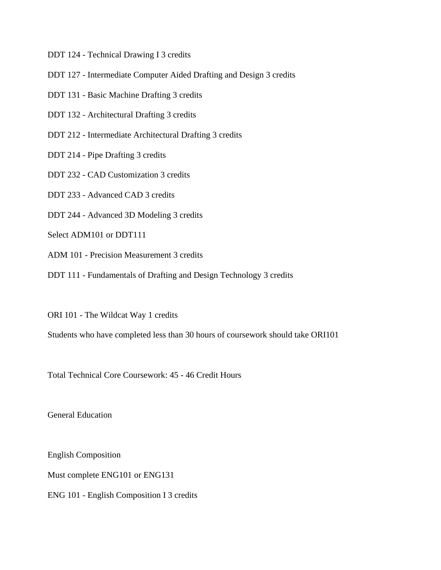DDT 124 - Technical Drawing I 3 credits

- DDT 127 Intermediate Computer Aided Drafting and Design 3 credits
- DDT 131 Basic Machine Drafting 3 credits
- DDT 132 Architectural Drafting 3 credits
- DDT 212 Intermediate Architectural Drafting 3 credits
- DDT 214 Pipe Drafting 3 credits
- DDT 232 CAD Customization 3 credits
- DDT 233 Advanced CAD 3 credits
- DDT 244 Advanced 3D Modeling 3 credits
- Select ADM101 or DDT111
- ADM 101 Precision Measurement 3 credits
- DDT 111 Fundamentals of Drafting and Design Technology 3 credits
- ORI 101 The Wildcat Way 1 credits
- Students who have completed less than 30 hours of coursework should take ORI101

Total Technical Core Coursework: 45 - 46 Credit Hours

General Education

English Composition Must complete ENG101 or ENG131

ENG 101 - English Composition I 3 credits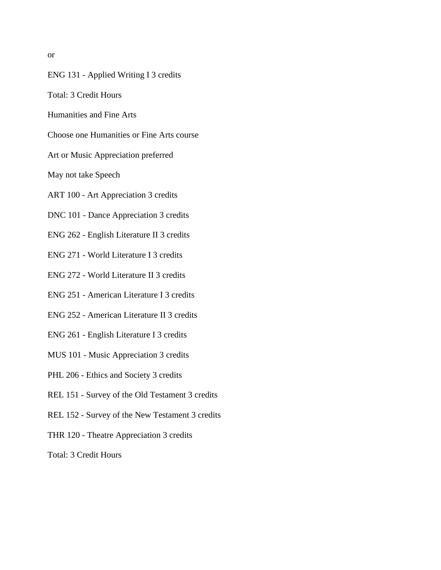or

- ENG 131 Applied Writing I 3 credits
- Total: 3 Credit Hours
- Humanities and Fine Arts
- Choose one Humanities or Fine Arts course
- Art or Music Appreciation preferred
- May not take Speech
- ART 100 Art Appreciation 3 credits
- DNC 101 Dance Appreciation 3 credits
- ENG 262 English Literature II 3 credits
- ENG 271 World Literature I 3 credits
- ENG 272 World Literature II 3 credits
- ENG 251 American Literature I 3 credits
- ENG 252 American Literature II 3 credits
- ENG 261 English Literature I 3 credits
- MUS 101 Music Appreciation 3 credits
- PHL 206 Ethics and Society 3 credits
- REL 151 Survey of the Old Testament 3 credits
- REL 152 Survey of the New Testament 3 credits
- THR 120 Theatre Appreciation 3 credits
- Total: 3 Credit Hours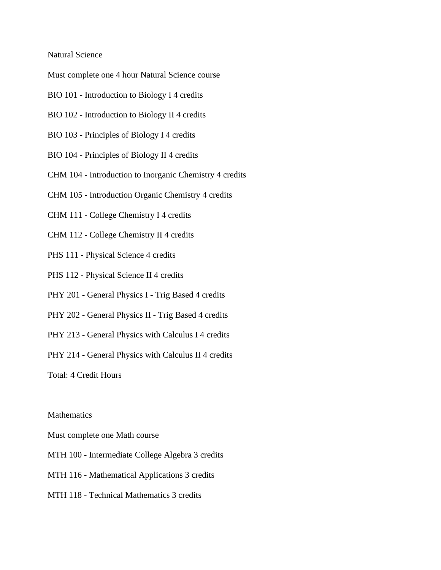#### Natural Science

Must complete one 4 hour Natural Science course

- BIO 101 Introduction to Biology I 4 credits
- BIO 102 Introduction to Biology II 4 credits
- BIO 103 Principles of Biology I 4 credits
- BIO 104 Principles of Biology II 4 credits
- CHM 104 Introduction to Inorganic Chemistry 4 credits
- CHM 105 Introduction Organic Chemistry 4 credits
- CHM 111 College Chemistry I 4 credits
- CHM 112 College Chemistry II 4 credits
- PHS 111 Physical Science 4 credits
- PHS 112 Physical Science II 4 credits
- PHY 201 General Physics I Trig Based 4 credits
- PHY 202 General Physics II Trig Based 4 credits
- PHY 213 General Physics with Calculus I 4 credits
- PHY 214 General Physics with Calculus II 4 credits

Total: 4 Credit Hours

#### **Mathematics**

Must complete one Math course

- MTH 100 Intermediate College Algebra 3 credits
- MTH 116 Mathematical Applications 3 credits
- MTH 118 Technical Mathematics 3 credits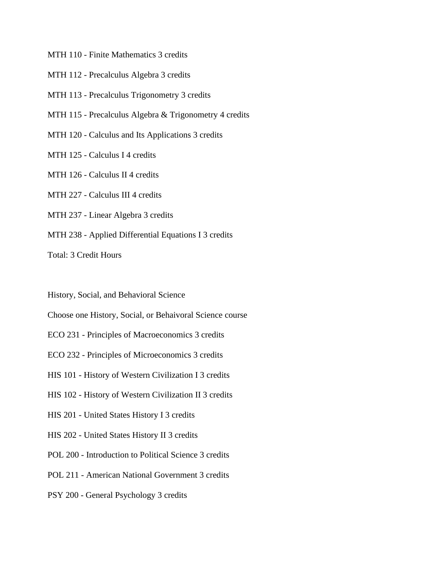MTH 110 - Finite Mathematics 3 credits

MTH 112 - Precalculus Algebra 3 credits

MTH 113 - Precalculus Trigonometry 3 credits

MTH 115 - Precalculus Algebra & Trigonometry 4 credits

MTH 120 - Calculus and Its Applications 3 credits

MTH 125 - Calculus I 4 credits

MTH 126 - Calculus II 4 credits

MTH 227 - Calculus III 4 credits

MTH 237 - Linear Algebra 3 credits

MTH 238 - Applied Differential Equations I 3 credits

Total: 3 Credit Hours

History, Social, and Behavioral Science

Choose one History, Social, or Behaivoral Science course

ECO 231 - Principles of Macroeconomics 3 credits

ECO 232 - Principles of Microeconomics 3 credits

HIS 101 - History of Western Civilization I 3 credits

HIS 102 - History of Western Civilization II 3 credits

HIS 201 - United States History I 3 credits

HIS 202 - United States History II 3 credits

POL 200 - Introduction to Political Science 3 credits

POL 211 - American National Government 3 credits

PSY 200 - General Psychology 3 credits